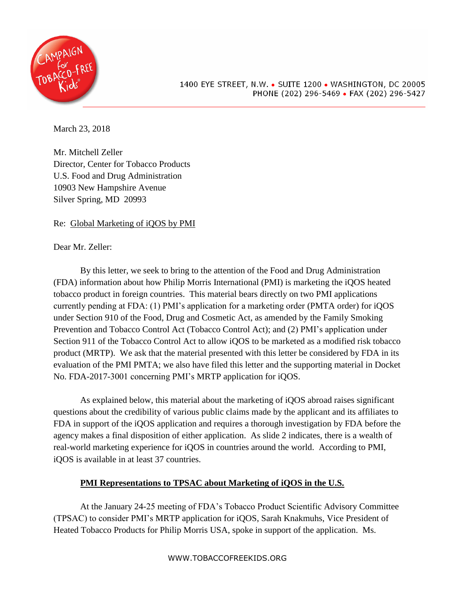

March 23, 2018

Mr. Mitchell Zeller Director, Center for Tobacco Products U.S. Food and Drug Administration 10903 New Hampshire Avenue Silver Spring, MD 20993

Re: Global Marketing of iQOS by PMI

Dear Mr. Zeller:

By this letter, we seek to bring to the attention of the Food and Drug Administration (FDA) information about how Philip Morris International (PMI) is marketing the iQOS heated tobacco product in foreign countries. This material bears directly on two PMI applications currently pending at FDA: (1) PMI's application for a marketing order (PMTA order) for iQOS under Section 910 of the Food, Drug and Cosmetic Act, as amended by the Family Smoking Prevention and Tobacco Control Act (Tobacco Control Act); and (2) PMI's application under Section 911 of the Tobacco Control Act to allow iQOS to be marketed as a modified risk tobacco product (MRTP). We ask that the material presented with this letter be considered by FDA in its evaluation of the PMI PMTA; we also have filed this letter and the supporting material in Docket No. FDA-2017-3001 concerning PMI's MRTP application for iQOS.

As explained below, this material about the marketing of iQOS abroad raises significant questions about the credibility of various public claims made by the applicant and its affiliates to FDA in support of the iQOS application and requires a thorough investigation by FDA before the agency makes a final disposition of either application. As slide 2 indicates, there is a wealth of real-world marketing experience for iQOS in countries around the world. According to PMI, iQOS is available in at least 37 countries.

# **PMI Representations to TPSAC about Marketing of iQOS in the U.S.**

At the January 24-25 meeting of FDA's Tobacco Product Scientific Advisory Committee (TPSAC) to consider PMI's MRTP application for iQOS, Sarah Knakmuhs, Vice President of Heated Tobacco Products for Philip Morris USA, spoke in support of the application. Ms.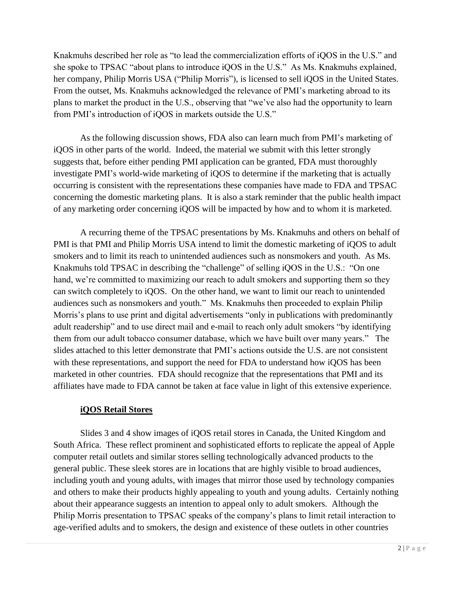Knakmuhs described her role as "to lead the commercialization efforts of iQOS in the U.S." and she spoke to TPSAC "about plans to introduce iQOS in the U.S." As Ms. Knakmuhs explained, her company, Philip Morris USA ("Philip Morris"), is licensed to sell iQOS in the United States. From the outset, Ms. Knakmuhs acknowledged the relevance of PMI's marketing abroad to its plans to market the product in the U.S., observing that "we've also had the opportunity to learn from PMI's introduction of iQOS in markets outside the U.S."

As the following discussion shows, FDA also can learn much from PMI's marketing of iQOS in other parts of the world. Indeed, the material we submit with this letter strongly suggests that, before either pending PMI application can be granted, FDA must thoroughly investigate PMI's world-wide marketing of iQOS to determine if the marketing that is actually occurring is consistent with the representations these companies have made to FDA and TPSAC concerning the domestic marketing plans. It is also a stark reminder that the public health impact of any marketing order concerning iQOS will be impacted by how and to whom it is marketed.

A recurring theme of the TPSAC presentations by Ms. Knakmuhs and others on behalf of PMI is that PMI and Philip Morris USA intend to limit the domestic marketing of iQOS to adult smokers and to limit its reach to unintended audiences such as nonsmokers and youth. As Ms. Knakmuhs told TPSAC in describing the "challenge" of selling iQOS in the U.S.: "On one hand, we're committed to maximizing our reach to adult smokers and supporting them so they can switch completely to iQOS. On the other hand, we want to limit our reach to unintended audiences such as nonsmokers and youth." Ms. Knakmuhs then proceeded to explain Philip Morris's plans to use print and digital advertisements "only in publications with predominantly adult readership" and to use direct mail and e-mail to reach only adult smokers "by identifying them from our adult tobacco consumer database, which we have built over many years." The slides attached to this letter demonstrate that PMI's actions outside the U.S. are not consistent with these representations, and support the need for FDA to understand how iQOS has been marketed in other countries. FDA should recognize that the representations that PMI and its affiliates have made to FDA cannot be taken at face value in light of this extensive experience.

### **iQOS Retail Stores**

Slides 3 and 4 show images of iQOS retail stores in Canada, the United Kingdom and South Africa. These reflect prominent and sophisticated efforts to replicate the appeal of Apple computer retail outlets and similar stores selling technologically advanced products to the general public. These sleek stores are in locations that are highly visible to broad audiences, including youth and young adults, with images that mirror those used by technology companies and others to make their products highly appealing to youth and young adults. Certainly nothing about their appearance suggests an intention to appeal only to adult smokers. Although the Philip Morris presentation to TPSAC speaks of the company's plans to limit retail interaction to age-verified adults and to smokers, the design and existence of these outlets in other countries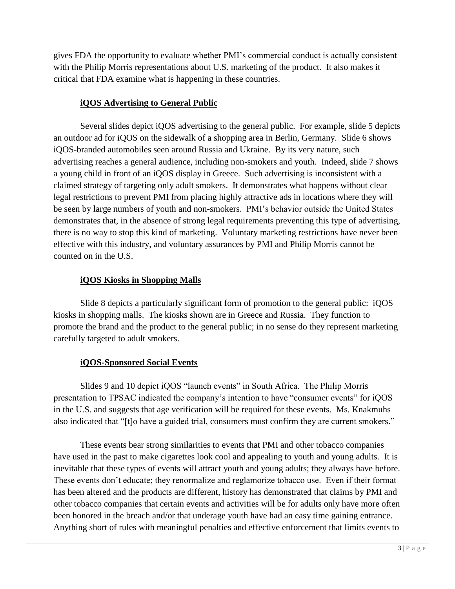gives FDA the opportunity to evaluate whether PMI's commercial conduct is actually consistent with the Philip Morris representations about U.S. marketing of the product. It also makes it critical that FDA examine what is happening in these countries.

## **iQOS Advertising to General Public**

Several slides depict iQOS advertising to the general public. For example, slide 5 depicts an outdoor ad for iQOS on the sidewalk of a shopping area in Berlin, Germany. Slide 6 shows iQOS-branded automobiles seen around Russia and Ukraine. By its very nature, such advertising reaches a general audience, including non-smokers and youth. Indeed, slide 7 shows a young child in front of an iQOS display in Greece. Such advertising is inconsistent with a claimed strategy of targeting only adult smokers. It demonstrates what happens without clear legal restrictions to prevent PMI from placing highly attractive ads in locations where they will be seen by large numbers of youth and non-smokers. PMI's behavior outside the United States demonstrates that, in the absence of strong legal requirements preventing this type of advertising, there is no way to stop this kind of marketing. Voluntary marketing restrictions have never been effective with this industry, and voluntary assurances by PMI and Philip Morris cannot be counted on in the U.S.

# **iQOS Kiosks in Shopping Malls**

Slide 8 depicts a particularly significant form of promotion to the general public: iQOS kiosks in shopping malls. The kiosks shown are in Greece and Russia. They function to promote the brand and the product to the general public; in no sense do they represent marketing carefully targeted to adult smokers.

# **iQOS-Sponsored Social Events**

Slides 9 and 10 depict iQOS "launch events" in South Africa. The Philip Morris presentation to TPSAC indicated the company's intention to have "consumer events" for iQOS in the U.S. and suggests that age verification will be required for these events. Ms. Knakmuhs also indicated that "[t]o have a guided trial, consumers must confirm they are current smokers."

These events bear strong similarities to events that PMI and other tobacco companies have used in the past to make cigarettes look cool and appealing to youth and young adults. It is inevitable that these types of events will attract youth and young adults; they always have before. These events don't educate; they renormalize and reglamorize tobacco use. Even if their format has been altered and the products are different, history has demonstrated that claims by PMI and other tobacco companies that certain events and activities will be for adults only have more often been honored in the breach and/or that underage youth have had an easy time gaining entrance. Anything short of rules with meaningful penalties and effective enforcement that limits events to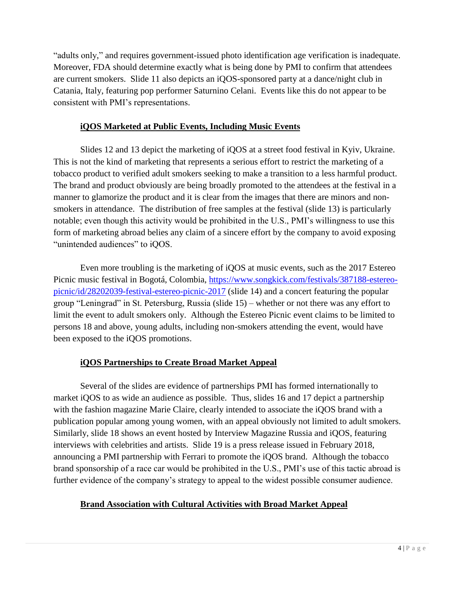"adults only," and requires government-issued photo identification age verification is inadequate. Moreover, FDA should determine exactly what is being done by PMI to confirm that attendees are current smokers. Slide 11 also depicts an iQOS-sponsored party at a dance/night club in Catania, Italy, featuring pop performer Saturnino Celani. Events like this do not appear to be consistent with PMI's representations.

## **iQOS Marketed at Public Events, Including Music Events**

Slides 12 and 13 depict the marketing of iQOS at a street food festival in Kyiv, Ukraine. This is not the kind of marketing that represents a serious effort to restrict the marketing of a tobacco product to verified adult smokers seeking to make a transition to a less harmful product. The brand and product obviously are being broadly promoted to the attendees at the festival in a manner to glamorize the product and it is clear from the images that there are minors and nonsmokers in attendance. The distribution of free samples at the festival (slide 13) is particularly notable; even though this activity would be prohibited in the U.S., PMI's willingness to use this form of marketing abroad belies any claim of a sincere effort by the company to avoid exposing "unintended audiences" to iQOS.

Even more troubling is the marketing of iQOS at music events, such as the 2017 Estereo Picnic music festival in Bogotá, Colombia, [https://www.songkick.com/festivals/387188-estereo](https://www.songkick.com/festivals/387188-estereo-picnic/id/28202039-festival-estereo-picnic-2017)[picnic/id/28202039-festival-estereo-picnic-2017](https://www.songkick.com/festivals/387188-estereo-picnic/id/28202039-festival-estereo-picnic-2017) (slide 14) and a concert featuring the popular group "Leningrad" in St. Petersburg, Russia (slide 15) – whether or not there was any effort to limit the event to adult smokers only. Although the Estereo Picnic event claims to be limited to persons 18 and above, young adults, including non-smokers attending the event, would have been exposed to the iQOS promotions.

# **iQOS Partnerships to Create Broad Market Appeal**

Several of the slides are evidence of partnerships PMI has formed internationally to market iQOS to as wide an audience as possible. Thus, slides 16 and 17 depict a partnership with the fashion magazine Marie Claire, clearly intended to associate the iQOS brand with a publication popular among young women, with an appeal obviously not limited to adult smokers. Similarly, slide 18 shows an event hosted by Interview Magazine Russia and iQOS, featuring interviews with celebrities and artists. Slide 19 is a press release issued in February 2018, announcing a PMI partnership with Ferrari to promote the iQOS brand. Although the tobacco brand sponsorship of a race car would be prohibited in the U.S., PMI's use of this tactic abroad is further evidence of the company's strategy to appeal to the widest possible consumer audience.

### **Brand Association with Cultural Activities with Broad Market Appeal**